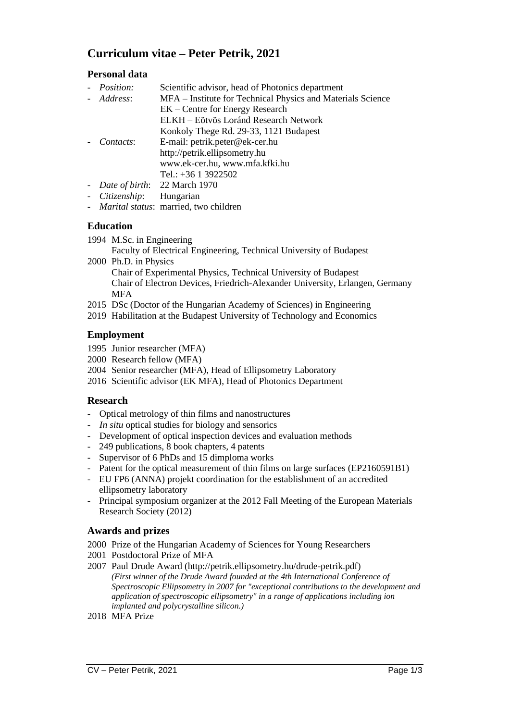# **Curriculum vitae – Peter Petrik, 2021**

# **Personal data**

| - <i>Position:</i> | Scientific advisor, head of Photonics department            |
|--------------------|-------------------------------------------------------------|
| - Address:         | MFA – Institute for Technical Physics and Materials Science |
|                    | EK – Centre for Energy Research                             |
|                    | ELKH – Eötvös Loránd Research Network                       |
|                    | Konkoly Thege Rd. 29-33, 1121 Budapest                      |
| Contacts:          | E-mail: petrik.peter@ek-cer.hu                              |
|                    | http://petrik.ellipsometry.hu                               |
|                    | www.ek-cer.hu, www.mfa.kfki.hu                              |
|                    | Tel.: $+36$ 1 3922502                                       |
|                    | - Date of birth: 22 March 1970                              |
| - Citizenship:     | Hungarian                                                   |

*- Marital status*: married, two children

### **Education**

1994 M.Sc. in Engineering

Faculty of Electrical Engineering, Technical University of Budapest

2000 Ph.D. in Physics

Chair of Experimental Physics, Technical University of Budapest Chair of Electron Devices, Friedrich-Alexander University, Erlangen, Germany **MFA** 

- 2015 DSc (Doctor of the Hungarian Academy of Sciences) in Engineering
- 2019 Habilitation at the Budapest University of Technology and Economics

### **Employment**

- 1995 Junior researcher (MFA)
- 2000 Research fellow (MFA)
- 2004 Senior researcher (MFA), Head of Ellipsometry Laboratory
- 2016 Scientific advisor (EK MFA), Head of Photonics Department

#### **Research**

- Optical metrology of thin films and nanostructures
- *In situ* optical studies for biology and sensorics
- Development of optical inspection devices and evaluation methods
- 249 publications, 8 book chapters, 4 patents
- Supervisor of 6 PhDs and 15 dimploma works
- Patent for the optical measurement of thin films on large surfaces (EP2160591B1)
- EU FP6 (ANNA) projekt coordination for the establishment of an accredited ellipsometry laboratory
- Principal symposium organizer at the 2012 Fall Meeting of the European Materials Research Society (2012)

# **Awards and prizes**

- 2000 Prize of the Hungarian Academy of Sciences for Young Researchers
- 2001 Postdoctoral Prize of MFA
- 2007 Paul Drude Award (http://petrik.ellipsometry.hu/drude-petrik.pdf) *(First winner of the Drude Award founded at the 4th International Conference of Spectroscopic Ellipsometry in 2007 for "exceptional contributions to the development and application of spectroscopic ellipsometry" in a range of applications including ion implanted and polycrystalline silicon.)*
- 2018 MFA Prize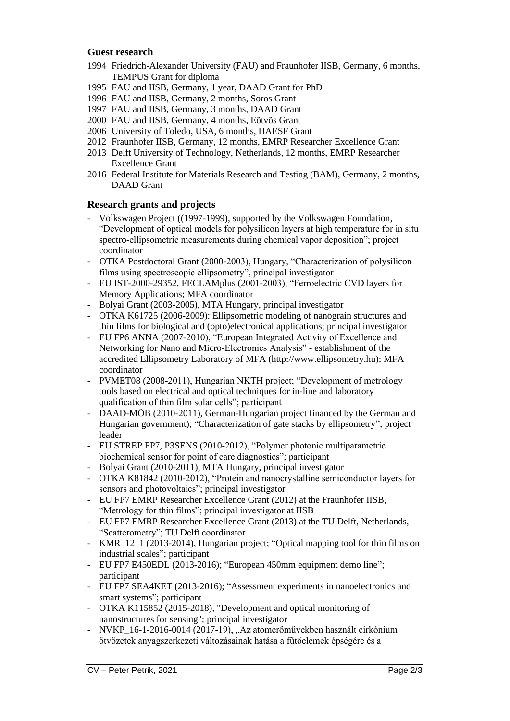#### **Guest research**

- 1994 Friedrich-Alexander University (FAU) and Fraunhofer IISB, Germany, 6 months, TEMPUS Grant for diploma
- 1995 FAU and IISB, Germany, 1 year, DAAD Grant for PhD
- 1996 FAU and IISB, Germany, 2 months, Soros Grant
- 1997 FAU and IISB, Germany, 3 months, DAAD Grant
- 2000 FAU and IISB, Germany, 4 months, Eötvös Grant
- 2006 University of Toledo, USA, 6 months, HAESF Grant
- 2012 Fraunhofer IISB, Germany, 12 months, EMRP Researcher Excellence Grant
- 2013 Delft University of Technology, Netherlands, 12 months, EMRP Researcher Excellence Grant
- 2016 Federal Institute for Materials Research and Testing (BAM), Germany, 2 months, DAAD Grant

#### **Research grants and projects**

- Volkswagen Project ((1997-1999), supported by the Volkswagen Foundation, "Development of optical models for polysilicon layers at high temperature for in situ spectro-ellipsometric measurements during chemical vapor deposition"; project coordinator
- OTKA Postdoctoral Grant (2000-2003), Hungary, "Characterization of polysilicon films using spectroscopic ellipsometry", principal investigator
- EU IST-2000-29352, FECLAMplus (2001-2003), "Ferroelectric CVD layers for Memory Applications; MFA coordinator
- Bolyai Grant (2003-2005), MTA Hungary, principal investigator
- OTKA K61725 (2006-2009): Ellipsometric modeling of nanograin structures and thin films for biological and (opto)electronical applications; principal investigator
- EU FP6 ANNA (2007-2010), "European Integrated Activity of Excellence and Networking for Nano and Micro-Electronics Analysis" - establishment of the accredited Ellipsometry Laboratory of MFA (http://www.ellipsometry.hu); MFA coordinator
- PVMET08 (2008-2011), Hungarian NKTH project; "Development of metrology tools based on electrical and optical techniques for in-line and laboratory qualification of thin film solar cells"; participant
- DAAD-MÖB (2010-2011), German-Hungarian project financed by the German and Hungarian government); "Characterization of gate stacks by ellipsometry"; project leader
- EU STREP FP7, P3SENS (2010-2012), "Polymer photonic multiparametric biochemical sensor for point of care diagnostics"; participant
- Bolyai Grant (2010-2011), MTA Hungary, principal investigator
- OTKA K81842 (2010-2012), "Protein and nanocrystalline semiconductor layers for sensors and photovoltaics"; principal investigator
- EU FP7 EMRP Researcher Excellence Grant (2012) at the Fraunhofer IISB, "Metrology for thin films"; principal investigator at IISB
- EU FP7 EMRP Researcher Excellence Grant (2013) at the TU Delft, Netherlands, "Scatterometry"; TU Delft coordinator
- KMR\_12\_1 (2013-2014), Hungarian project; "Optical mapping tool for thin films on industrial scales"; participant
- EU FP7 E450EDL (2013-2016); "European 450mm equipment demo line"; participant
- EU FP7 SEA4KET (2013-2016); "Assessment experiments in nanoelectronics and smart systems"; participant
- OTKA K115852 (2015-2018), "Development and optical monitoring of nanostructures for sensing"; principal investigator
- NVKP\_16-1-2016-0014 (2017-19), "Az atomerőművekben használt cirkónium ötvözetek anyagszerkezeti változásainak hatása a fűtőelemek épségére és a